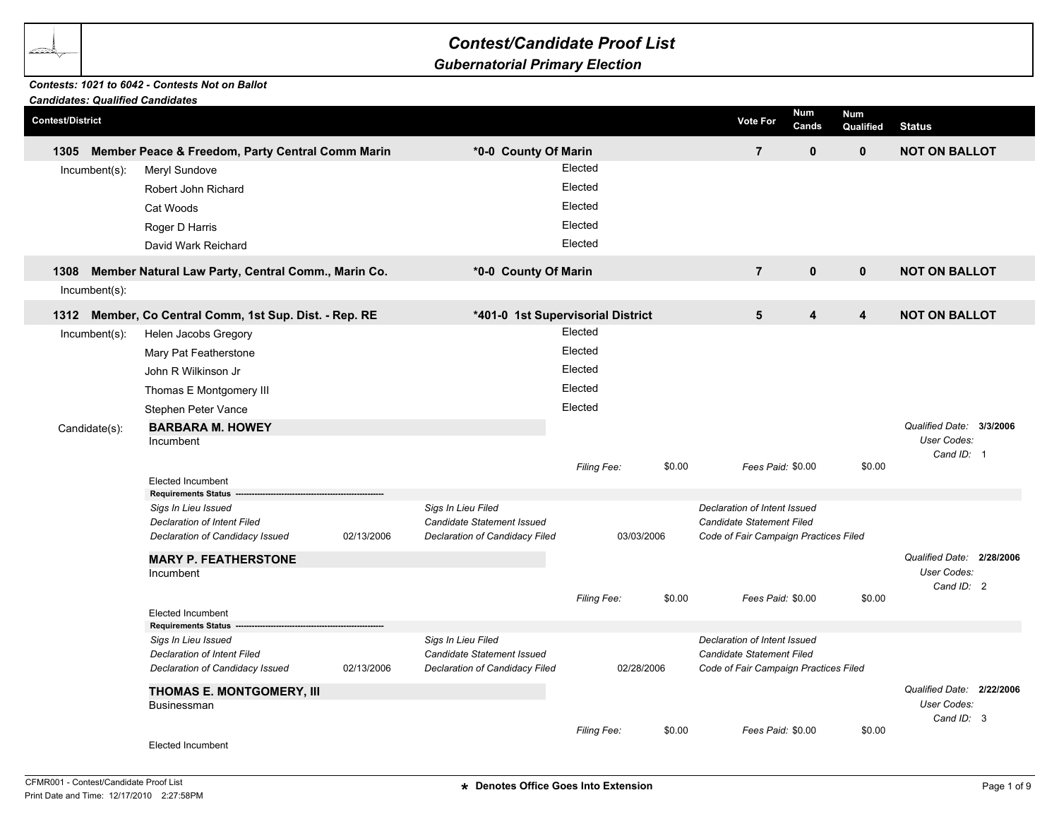## *Contest/Candidate Proof List*

## *Gubernatorial Primary Election*

## *Contests: 1021 to 6042 - Contests Not on Ballot*

| <b>Candidates: Qualified Candidates</b> |                                                        |                           |                                   |             |            |                   |                                       |                     |                         |                                  |  |
|-----------------------------------------|--------------------------------------------------------|---------------------------|-----------------------------------|-------------|------------|-------------------|---------------------------------------|---------------------|-------------------------|----------------------------------|--|
| <b>Contest/District</b>                 |                                                        |                           |                                   |             |            |                   | <b>Vote For</b>                       | <b>Num</b><br>Cands | <b>Num</b><br>Qualified | <b>Status</b>                    |  |
| 1305                                    | Member Peace & Freedom, Party Central Comm Marin       |                           | *0-0 County Of Marin              |             |            |                   | $\overline{7}$                        | $\mathbf 0$         | $\mathbf{0}$            | <b>NOT ON BALLOT</b>             |  |
| Incumbent(s):                           | Meryl Sundove                                          |                           |                                   | Elected     |            |                   |                                       |                     |                         |                                  |  |
|                                         | Robert John Richard                                    |                           |                                   | Elected     |            |                   |                                       |                     |                         |                                  |  |
|                                         | Cat Woods                                              |                           |                                   | Elected     |            |                   |                                       |                     |                         |                                  |  |
|                                         |                                                        |                           |                                   |             |            |                   |                                       |                     |                         |                                  |  |
|                                         | Roger D Harris                                         |                           |                                   | Elected     |            |                   |                                       |                     |                         |                                  |  |
|                                         | David Wark Reichard                                    |                           |                                   | Elected     |            |                   |                                       |                     |                         |                                  |  |
| 1308                                    | Member Natural Law Party, Central Comm., Marin Co.     |                           | *0-0 County Of Marin              |             |            |                   | $\overline{7}$                        | $\mathbf{0}$        | $\mathbf 0$             | <b>NOT ON BALLOT</b>             |  |
| $lncumbent(s)$ :                        |                                                        |                           |                                   |             |            |                   |                                       |                     |                         |                                  |  |
| 1312                                    | Member, Co Central Comm, 1st Sup. Dist. - Rep. RE      |                           | *401-0 1st Supervisorial District |             |            |                   | $5\phantom{1}$                        | 4                   | 4                       | <b>NOT ON BALLOT</b>             |  |
| Incumbent(s):                           | Helen Jacobs Gregory                                   |                           |                                   | Elected     |            |                   |                                       |                     |                         |                                  |  |
|                                         | Mary Pat Featherstone                                  |                           |                                   | Elected     |            |                   |                                       |                     |                         |                                  |  |
|                                         | John R Wilkinson Jr                                    |                           |                                   | Elected     |            |                   |                                       |                     |                         |                                  |  |
|                                         | Thomas E Montgomery III                                |                           |                                   | Elected     |            |                   |                                       |                     |                         |                                  |  |
|                                         | Stephen Peter Vance                                    |                           |                                   | Elected     |            |                   |                                       |                     |                         |                                  |  |
|                                         | <b>BARBARA M. HOWEY</b>                                |                           |                                   |             |            |                   |                                       |                     |                         | Qualified Date: 3/3/2006         |  |
| Candidate(s):                           | Incumbent                                              |                           |                                   |             |            |                   |                                       |                     |                         | <b>User Codes:</b>               |  |
|                                         |                                                        |                           |                                   |             |            |                   |                                       |                     |                         | Cand ID: 1                       |  |
|                                         |                                                        |                           |                                   | Filing Fee: |            | \$0.00            | Fees Paid: \$0.00                     |                     | \$0.00                  |                                  |  |
|                                         | <b>Elected Incumbent</b><br><b>Requirements Status</b> |                           |                                   |             |            |                   |                                       |                     |                         |                                  |  |
|                                         | Sigs In Lieu Issued                                    |                           | Sigs In Lieu Filed                |             |            |                   | Declaration of Intent Issued          |                     |                         |                                  |  |
|                                         | <b>Declaration of Intent Filed</b>                     |                           | Candidate Statement Issued        |             |            |                   | Candidate Statement Filed             |                     |                         |                                  |  |
|                                         | Declaration of Candidacy Issued                        | 02/13/2006                | Declaration of Candidacy Filed    |             | 03/03/2006 |                   | Code of Fair Campaign Practices Filed |                     |                         |                                  |  |
|                                         | <b>MARY P. FEATHERSTONE</b>                            |                           |                                   |             |            |                   |                                       |                     |                         | Qualified Date: 2/28/2006        |  |
|                                         | Incumbent                                              |                           |                                   |             |            |                   |                                       |                     |                         | <b>User Codes:</b><br>Cand ID: 2 |  |
|                                         |                                                        |                           |                                   | Filing Fee: |            | \$0.00            | Fees Paid: \$0.00                     |                     | \$0.00                  |                                  |  |
|                                         | <b>Elected Incumbent</b>                               |                           |                                   |             |            |                   |                                       |                     |                         |                                  |  |
|                                         | <b>Requirements Status</b>                             |                           |                                   |             |            |                   |                                       |                     |                         |                                  |  |
|                                         | Sigs In Lieu Issued                                    |                           | Sigs In Lieu Filed                |             |            |                   | Declaration of Intent Issued          |                     |                         |                                  |  |
|                                         | <b>Declaration of Intent Filed</b>                     |                           | <b>Candidate Statement Issued</b> |             |            |                   | Candidate Statement Filed             |                     |                         |                                  |  |
|                                         | Declaration of Candidacy Issued                        | 02/13/2006                | Declaration of Candidacy Filed    |             | 02/28/2006 |                   | Code of Fair Campaign Practices Filed |                     |                         |                                  |  |
|                                         |                                                        | THOMAS E. MONTGOMERY, III |                                   |             |            |                   |                                       |                     |                         | Qualified Date: 2/22/2006        |  |
|                                         | <b>Businessman</b>                                     |                           |                                   |             |            |                   |                                       |                     |                         | User Codes:<br>Cand ID: 3        |  |
|                                         |                                                        |                           |                                   | Filing Fee: | \$0.00     | Fees Paid: \$0.00 | \$0.00                                |                     |                         |                                  |  |
|                                         | Elected Incumbent                                      |                           |                                   |             |            |                   |                                       |                     |                         |                                  |  |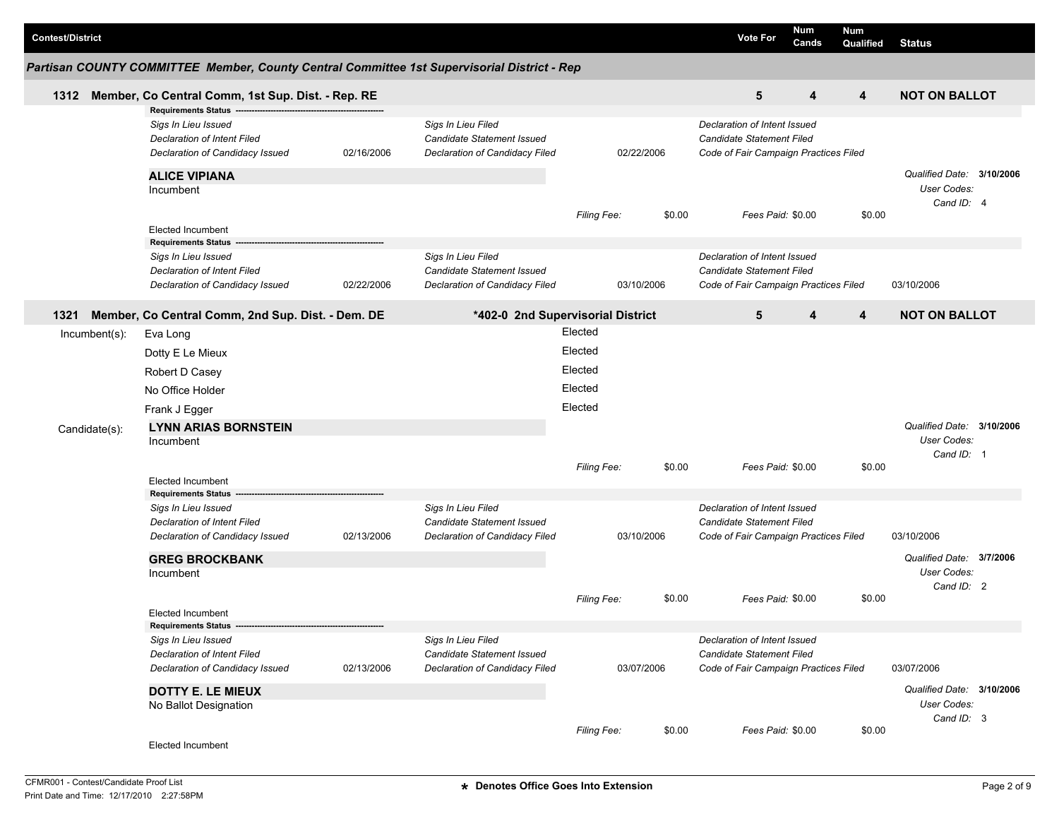| <b>Contest/District</b> |                                                                                                                     |            |                                                                                    |                                          |            |        | <b>Vote For</b>                                                                                           | <b>Num</b><br>Cands | Num<br>Qualified                                       | <b>Status</b>                                          |  |
|-------------------------|---------------------------------------------------------------------------------------------------------------------|------------|------------------------------------------------------------------------------------|------------------------------------------|------------|--------|-----------------------------------------------------------------------------------------------------------|---------------------|--------------------------------------------------------|--------------------------------------------------------|--|
|                         | Partisan COUNTY COMMITTEE Member, County Central Committee 1st Supervisorial District - Rep                         |            |                                                                                    |                                          |            |        |                                                                                                           |                     |                                                        |                                                        |  |
| 1312                    | Member, Co Central Comm, 1st Sup. Dist. - Rep. RE                                                                   |            |                                                                                    |                                          |            |        | 5                                                                                                         | 4                   | $\overline{\mathbf{4}}$                                | <b>NOT ON BALLOT</b>                                   |  |
|                         | <b>Requirements Status</b><br>Sigs In Lieu Issued<br>Declaration of Intent Filed<br>Declaration of Candidacy Issued | 02/16/2006 | Sigs In Lieu Filed<br>Candidate Statement Issued<br>Declaration of Candidacy Filed |                                          | 02/22/2006 |        | Declaration of Intent Issued<br>Candidate Statement Filed<br>Code of Fair Campaign Practices Filed        |                     |                                                        |                                                        |  |
|                         | <b>ALICE VIPIANA</b><br>Incumbent                                                                                   |            |                                                                                    |                                          |            |        |                                                                                                           |                     |                                                        | Qualified Date: 3/10/2006<br>User Codes:<br>Cand ID: 4 |  |
|                         | <b>Elected Incumbent</b><br><b>Requirements Status</b>                                                              |            |                                                                                    | Filing Fee:                              |            | \$0.00 | Fees Paid: \$0.00                                                                                         |                     | \$0.00                                                 |                                                        |  |
|                         | Sigs In Lieu Issued<br>Declaration of Intent Filed<br>Declaration of Candidacy Issued                               | 02/22/2006 | Sigs In Lieu Filed<br>Candidate Statement Issued<br>Declaration of Candidacy Filed |                                          | 03/10/2006 |        | Declaration of Intent Issued<br><b>Candidate Statement Filed</b><br>Code of Fair Campaign Practices Filed |                     |                                                        | 03/10/2006                                             |  |
| 1321                    | Member, Co Central Comm, 2nd Sup. Dist. - Dem. DE                                                                   |            | *402-0 2nd Supervisorial District                                                  |                                          |            |        | 5                                                                                                         | 4                   | 4                                                      | <b>NOT ON BALLOT</b>                                   |  |
| $Incumbent(s)$ :        | Eva Long<br>Dotty E Le Mieux<br>Robert D Casey<br>No Office Holder                                                  |            |                                                                                    | Elected<br>Elected<br>Elected<br>Elected |            |        |                                                                                                           |                     |                                                        |                                                        |  |
| Candidate(s):           | Frank J Egger<br><b>LYNN ARIAS BORNSTEIN</b><br>Incumbent                                                           |            |                                                                                    | Elected                                  |            |        |                                                                                                           |                     |                                                        | Qualified Date: 3/10/2006<br>User Codes:<br>Cand ID: 1 |  |
|                         | <b>Elected Incumbent</b>                                                                                            |            |                                                                                    | Filing Fee:                              |            | \$0.00 | Fees Paid: \$0.00                                                                                         |                     | \$0.00                                                 |                                                        |  |
|                         | <b>Requirements Status</b><br>Sigs In Lieu Issued<br>Declaration of Intent Filed<br>Declaration of Candidacy Issued | 02/13/2006 | Sigs In Lieu Filed<br>Candidate Statement Issued<br>Declaration of Candidacy Filed |                                          | 03/10/2006 |        | Declaration of Intent Issued<br>Candidate Statement Filed<br>Code of Fair Campaign Practices Filed        |                     |                                                        | 03/10/2006                                             |  |
|                         | <b>GREG BROCKBANK</b><br>Incumbent                                                                                  |            |                                                                                    | <b>Filing Fee:</b>                       |            | \$0.00 | Fees Paid: \$0.00                                                                                         |                     | \$0.00                                                 | Qualified Date: 3/7/2006<br>User Codes:<br>Cand ID: 2  |  |
|                         | <b>Elected Incumbent</b>                                                                                            |            |                                                                                    |                                          |            |        |                                                                                                           |                     |                                                        |                                                        |  |
|                         | Sigs In Lieu Issued<br><b>Declaration of Intent Filed</b><br>Declaration of Candidacy Issued                        | 02/13/2006 | Sigs In Lieu Filed<br>Candidate Statement Issued<br>Declaration of Candidacy Filed |                                          | 03/07/2006 |        | Declaration of Intent Issued<br>Candidate Statement Filed<br>Code of Fair Campaign Practices Filed        |                     |                                                        | 03/07/2006                                             |  |
|                         | <b>DOTTY E. LE MIEUX</b><br>No Ballot Designation                                                                   |            |                                                                                    |                                          |            |        |                                                                                                           |                     | Qualified Date: 3/10/2006<br>User Codes:<br>Cand ID: 3 |                                                        |  |
|                         | Elected Incumbent                                                                                                   |            |                                                                                    | Filing Fee:                              |            | \$0.00 | Fees Paid: \$0.00                                                                                         |                     | \$0.00                                                 |                                                        |  |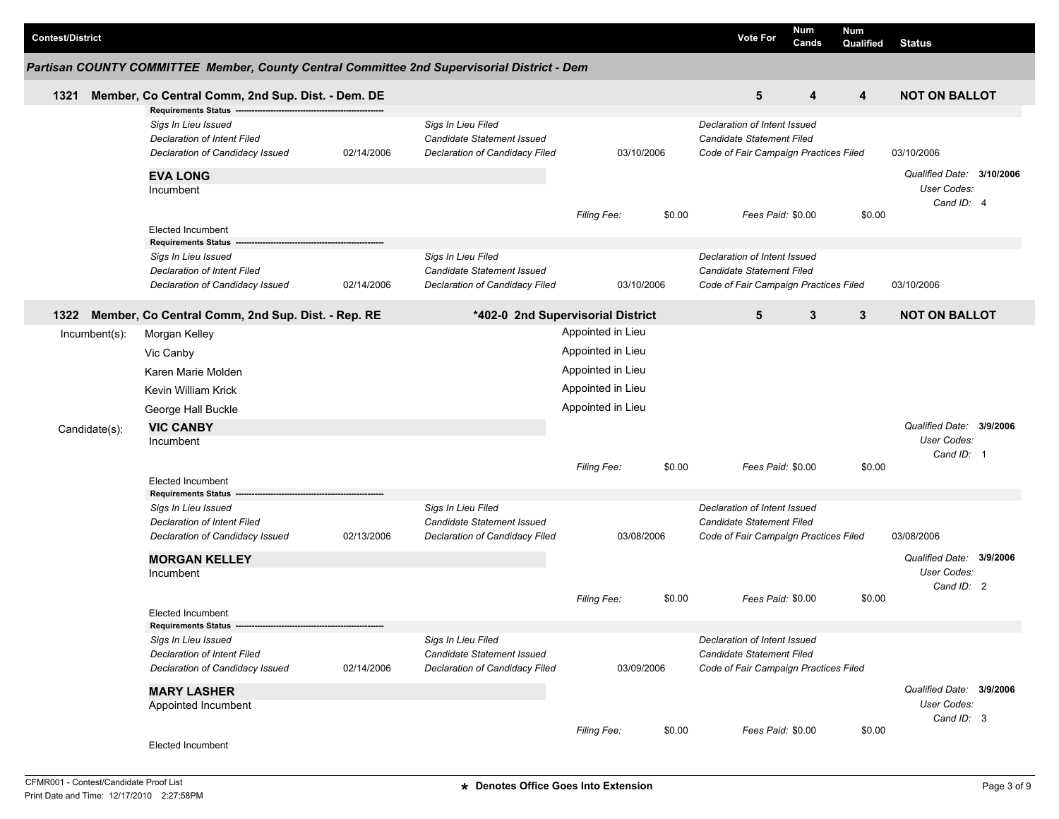| <b>Contest/District</b> |                                                                                                                     |            |                                                                                    |                                                             |        | <b>Vote For</b>                                                                                    | <b>Num</b><br>Cands | Num<br>Qualified        | <b>Status</b>                                          |  |
|-------------------------|---------------------------------------------------------------------------------------------------------------------|------------|------------------------------------------------------------------------------------|-------------------------------------------------------------|--------|----------------------------------------------------------------------------------------------------|---------------------|-------------------------|--------------------------------------------------------|--|
|                         | Partisan COUNTY COMMITTEE Member, County Central Committee 2nd Supervisorial District - Dem                         |            |                                                                                    |                                                             |        |                                                                                                    |                     |                         |                                                        |  |
| 1321                    | Member, Co Central Comm, 2nd Sup. Dist. - Dem. DE                                                                   |            |                                                                                    |                                                             |        | 5                                                                                                  | 4                   | $\overline{\mathbf{4}}$ | <b>NOT ON BALLOT</b>                                   |  |
|                         | <b>Requirements Status</b><br>Sigs In Lieu Issued<br>Declaration of Intent Filed<br>Declaration of Candidacy Issued | 02/14/2006 | Sigs In Lieu Filed<br>Candidate Statement Issued<br>Declaration of Candidacy Filed | 03/10/2006                                                  |        | Declaration of Intent Issued<br>Candidate Statement Filed<br>Code of Fair Campaign Practices Filed |                     |                         | 03/10/2006                                             |  |
|                         | <b>EVA LONG</b><br>Incumbent                                                                                        |            |                                                                                    |                                                             |        |                                                                                                    |                     |                         | Qualified Date: 3/10/2006<br>User Codes:<br>Cand ID: 4 |  |
|                         | <b>Elected Incumbent</b><br><b>Requirements Status</b>                                                              |            |                                                                                    | <b>Filing Fee:</b>                                          | \$0.00 | Fees Paid: \$0.00                                                                                  |                     | \$0.00                  |                                                        |  |
|                         | Sigs In Lieu Issued<br>Declaration of Intent Filed<br>Declaration of Candidacy Issued                               | 02/14/2006 | Sigs In Lieu Filed<br>Candidate Statement Issued<br>Declaration of Candidacy Filed | 03/10/2006                                                  |        | Declaration of Intent Issued<br>Candidate Statement Filed<br>Code of Fair Campaign Practices Filed |                     |                         | 03/10/2006                                             |  |
| 1322                    | Member, Co Central Comm, 2nd Sup. Dist. - Rep. RE                                                                   |            |                                                                                    | *402-0 2nd Supervisorial District                           |        | 5                                                                                                  | 3                   | $\mathbf{3}$            | <b>NOT ON BALLOT</b>                                   |  |
| Incumbent(s):           | Morgan Kelley<br>Vic Canby<br>Karen Marie Molden                                                                    |            |                                                                                    | Appointed in Lieu<br>Appointed in Lieu<br>Appointed in Lieu |        |                                                                                                    |                     |                         |                                                        |  |
| Candidate(s):           | Kevin William Krick<br>George Hall Buckle<br><b>VIC CANBY</b><br>Incumbent                                          |            |                                                                                    | Appointed in Lieu<br>Appointed in Lieu                      |        |                                                                                                    |                     |                         | Qualified Date: 3/9/2006<br>User Codes:                |  |
|                         | <b>Elected Incumbent</b>                                                                                            |            |                                                                                    | Filing Fee:                                                 | \$0.00 | Fees Paid: \$0.00                                                                                  |                     | \$0.00                  | Cand ID: 1                                             |  |
|                         | <b>Requirements Status</b><br>Sigs In Lieu Issued<br>Declaration of Intent Filed<br>Declaration of Candidacy Issued | 02/13/2006 | Sigs In Lieu Filed<br>Candidate Statement Issued<br>Declaration of Candidacy Filed | 03/08/2006                                                  |        | Declaration of Intent Issued<br>Candidate Statement Filed<br>Code of Fair Campaign Practices Filed |                     |                         | 03/08/2006                                             |  |
|                         | <b>MORGAN KELLEY</b><br>Incumbent                                                                                   |            |                                                                                    | <b>Filing Fee:</b>                                          | \$0.00 | Fees Paid: \$0.00                                                                                  |                     | \$0.00                  | Qualified Date: 3/9/2006<br>User Codes:<br>Cand ID: 2  |  |
|                         | Elected Incumbent<br>Requirements Status --                                                                         |            |                                                                                    |                                                             |        |                                                                                                    |                     |                         |                                                        |  |
|                         | Sigs In Lieu Issued<br><b>Declaration of Intent Filed</b><br>Declaration of Candidacy Issued                        | 02/14/2006 | Sigs In Lieu Filed<br>Candidate Statement Issued<br>Declaration of Candidacy Filed | 03/09/2006                                                  |        | Declaration of Intent Issued<br>Candidate Statement Filed<br>Code of Fair Campaign Practices Filed |                     |                         |                                                        |  |
|                         | <b>MARY LASHER</b><br>Appointed Incumbent                                                                           |            |                                                                                    |                                                             |        |                                                                                                    |                     |                         | Qualified Date: 3/9/2006<br>User Codes:<br>Cand ID: 3  |  |
|                         | Elected Incumbent                                                                                                   |            |                                                                                    | <b>Filing Fee:</b>                                          | \$0.00 | Fees Paid: \$0.00                                                                                  |                     | \$0.00                  |                                                        |  |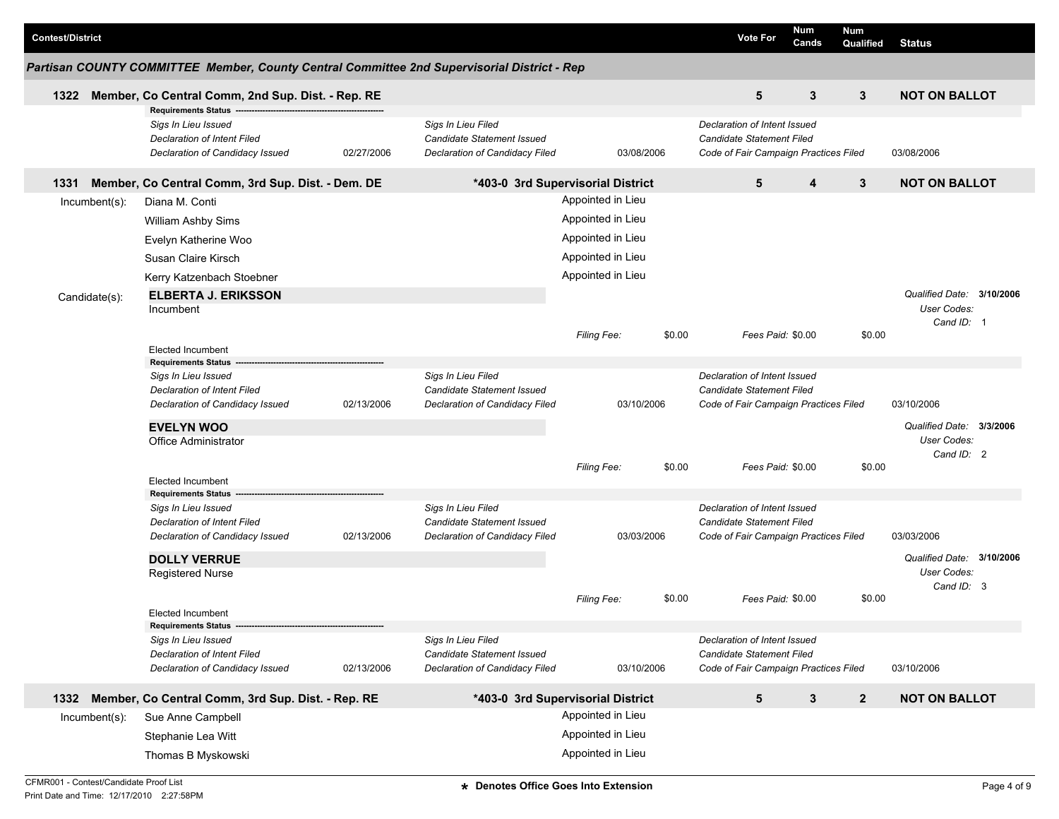| <b>Contest/District</b>    |                                                                                                                     |            |                                                                                    |                                   |        | <b>Vote For</b>                                                                                    | <b>Num</b><br>Cands | <b>Num</b><br>Qualified   | <b>Status</b>             |  |
|----------------------------|---------------------------------------------------------------------------------------------------------------------|------------|------------------------------------------------------------------------------------|-----------------------------------|--------|----------------------------------------------------------------------------------------------------|---------------------|---------------------------|---------------------------|--|
|                            | Partisan COUNTY COMMITTEE Member, County Central Committee 2nd Supervisorial District - Rep                         |            |                                                                                    |                                   |        |                                                                                                    |                     |                           |                           |  |
| 1322                       | Member, Co Central Comm, 2nd Sup. Dist. - Rep. RE                                                                   |            |                                                                                    |                                   |        | 5                                                                                                  | 3                   | $\mathbf{3}$              | <b>NOT ON BALLOT</b>      |  |
|                            | <b>Requirements Status</b><br>Sigs In Lieu Issued<br>Declaration of Intent Filed<br>Declaration of Candidacy Issued | 02/27/2006 | Sigs In Lieu Filed<br>Candidate Statement Issued<br>Declaration of Candidacy Filed | 03/08/2006                        |        | Declaration of Intent Issued<br>Candidate Statement Filed<br>Code of Fair Campaign Practices Filed |                     |                           | 03/08/2006                |  |
| 1331                       | Member, Co Central Comm, 3rd Sup. Dist. - Dem. DE                                                                   |            |                                                                                    | *403-0 3rd Supervisorial District |        | 5                                                                                                  | 4                   | $\mathbf{3}$              | <b>NOT ON BALLOT</b>      |  |
| Incumbent(s):              | Diana M. Conti                                                                                                      |            |                                                                                    | Appointed in Lieu                 |        |                                                                                                    |                     |                           |                           |  |
|                            | William Ashby Sims                                                                                                  |            |                                                                                    | Appointed in Lieu                 |        |                                                                                                    |                     |                           |                           |  |
|                            | Evelyn Katherine Woo                                                                                                |            |                                                                                    | Appointed in Lieu                 |        |                                                                                                    |                     |                           |                           |  |
|                            | Susan Claire Kirsch                                                                                                 |            |                                                                                    | Appointed in Lieu                 |        |                                                                                                    |                     |                           |                           |  |
|                            | Kerry Katzenbach Stoebner                                                                                           |            |                                                                                    | Appointed in Lieu                 |        |                                                                                                    |                     |                           |                           |  |
| <b>ELBERTA J. ERIKSSON</b> |                                                                                                                     |            |                                                                                    |                                   |        |                                                                                                    |                     | Qualified Date: 3/10/2006 |                           |  |
| Candidate(s):              | Incumbent                                                                                                           |            |                                                                                    |                                   |        |                                                                                                    |                     |                           | User Codes:               |  |
|                            |                                                                                                                     |            |                                                                                    |                                   |        |                                                                                                    |                     |                           | Cand ID: 1                |  |
|                            | <b>Elected Incumbent</b>                                                                                            |            |                                                                                    | <b>Filing Fee:</b>                | \$0.00 | Fees Paid: \$0.00                                                                                  |                     | \$0.00                    |                           |  |
|                            | <b>Requirements Status</b>                                                                                          |            |                                                                                    |                                   |        |                                                                                                    |                     |                           |                           |  |
|                            | Sigs In Lieu Issued                                                                                                 |            | Sigs In Lieu Filed                                                                 |                                   |        | Declaration of Intent Issued                                                                       |                     |                           |                           |  |
|                            | Declaration of Intent Filed                                                                                         |            | Candidate Statement Issued                                                         |                                   |        | Candidate Statement Filed                                                                          |                     |                           |                           |  |
|                            | Declaration of Candidacy Issued                                                                                     | 02/13/2006 | Declaration of Candidacy Filed                                                     | 03/10/2006                        |        | Code of Fair Campaign Practices Filed                                                              |                     |                           | 03/10/2006                |  |
|                            | <b>EVELYN WOO</b>                                                                                                   |            |                                                                                    |                                   |        |                                                                                                    |                     |                           | Qualified Date: 3/3/2006  |  |
|                            | <b>Office Administrator</b>                                                                                         |            |                                                                                    |                                   |        |                                                                                                    |                     |                           | User Codes:               |  |
|                            |                                                                                                                     |            |                                                                                    | Filing Fee:                       | \$0.00 | Fees Paid: \$0.00                                                                                  |                     | \$0.00                    | Cand ID: 2                |  |
|                            | <b>Elected Incumbent</b>                                                                                            |            |                                                                                    |                                   |        |                                                                                                    |                     |                           |                           |  |
|                            | <b>Requirements Status</b>                                                                                          |            |                                                                                    |                                   |        |                                                                                                    |                     |                           |                           |  |
|                            | Sigs In Lieu Issued<br>Declaration of Intent Filed                                                                  |            | Sigs In Lieu Filed<br>Candidate Statement Issued                                   |                                   |        | Declaration of Intent Issued<br>Candidate Statement Filed                                          |                     |                           |                           |  |
|                            | Declaration of Candidacy Issued                                                                                     | 02/13/2006 | Declaration of Candidacy Filed                                                     | 03/03/2006                        |        | Code of Fair Campaign Practices Filed                                                              |                     |                           | 03/03/2006                |  |
|                            |                                                                                                                     |            |                                                                                    |                                   |        |                                                                                                    |                     |                           | Qualified Date: 3/10/2006 |  |
|                            | <b>DOLLY VERRUE</b><br><b>Registered Nurse</b>                                                                      |            |                                                                                    |                                   |        |                                                                                                    |                     |                           | <b>User Codes:</b>        |  |
|                            |                                                                                                                     |            |                                                                                    |                                   |        |                                                                                                    |                     |                           | Cand ID: 3                |  |
|                            |                                                                                                                     |            |                                                                                    | <b>Filing Fee:</b>                | \$0.00 | Fees Paid: \$0.00                                                                                  |                     | \$0.00                    |                           |  |
|                            | Elected Incumbent                                                                                                   |            |                                                                                    |                                   |        |                                                                                                    |                     |                           |                           |  |
|                            | Sigs In Lieu Issued                                                                                                 |            | Sigs In Lieu Filed                                                                 |                                   |        | Declaration of Intent Issued                                                                       |                     |                           |                           |  |
|                            | <b>Declaration of Intent Filed</b>                                                                                  |            | Candidate Statement Issued                                                         |                                   |        | Candidate Statement Filed                                                                          |                     |                           |                           |  |
|                            | Declaration of Candidacy Issued                                                                                     | 02/13/2006 | Declaration of Candidacy Filed                                                     | 03/10/2006                        |        | Code of Fair Campaign Practices Filed                                                              |                     |                           | 03/10/2006                |  |
| 1332                       | Member, Co Central Comm, 3rd Sup. Dist. - Rep. RE                                                                   |            |                                                                                    | *403-0 3rd Supervisorial District |        | $5\phantom{.0}$                                                                                    | $\mathbf{3}$        | $\overline{2}$            | <b>NOT ON BALLOT</b>      |  |
| $Incumbent(s)$ :           | Sue Anne Campbell                                                                                                   |            | Appointed in Lieu                                                                  |                                   |        |                                                                                                    |                     |                           |                           |  |
|                            | Stephanie Lea Witt                                                                                                  |            |                                                                                    | Appointed in Lieu                 |        |                                                                                                    |                     |                           |                           |  |
|                            | Thomas B Myskowski                                                                                                  |            | Appointed in Lieu                                                                  |                                   |        |                                                                                                    |                     |                           |                           |  |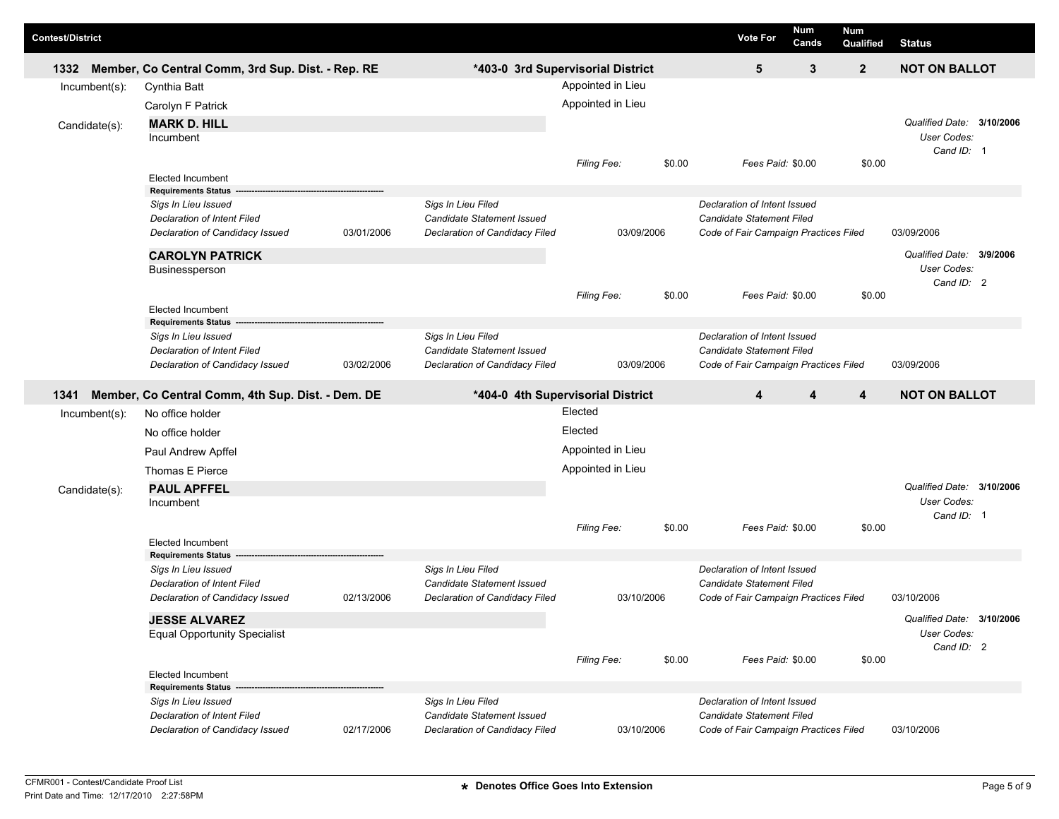| <b>Contest/District</b> |                  |                                                                   |            |                                                  |                                                        |                       | <b>Vote For</b>                                                  | Num<br>Cands      | <b>Num</b><br>Qualified | <b>Status</b>                            |             |
|-------------------------|------------------|-------------------------------------------------------------------|------------|--------------------------------------------------|--------------------------------------------------------|-----------------------|------------------------------------------------------------------|-------------------|-------------------------|------------------------------------------|-------------|
| 1332                    | $Incumbent(s)$ : | Member, Co Central Comm, 3rd Sup. Dist. - Rep. RE<br>Cynthia Batt |            |                                                  | *403-0 3rd Supervisorial District<br>Appointed in Lieu |                       | 5                                                                | 3                 | $\mathbf{2}$            | <b>NOT ON BALLOT</b>                     |             |
|                         |                  | Carolyn F Patrick                                                 |            |                                                  | Appointed in Lieu                                      |                       |                                                                  |                   |                         |                                          |             |
|                         |                  | <b>MARK D. HILL</b>                                               |            |                                                  |                                                        |                       |                                                                  |                   |                         | Qualified Date: 3/10/2006                |             |
|                         | Candidate(s):    | Incumbent                                                         |            |                                                  |                                                        |                       |                                                                  |                   |                         | User Codes:                              |             |
|                         |                  |                                                                   |            |                                                  | \$0.00<br><b>Filing Fee:</b>                           |                       | Fees Paid: \$0.00<br>\$0.00<br>Declaration of Intent Issued      |                   | Cand ID: 1              |                                          |             |
|                         |                  | Elected Incumbent<br><b>Requirements Status</b>                   |            |                                                  |                                                        |                       |                                                                  |                   |                         |                                          |             |
|                         |                  | Sigs In Lieu Issued                                               |            | Sigs In Lieu Filed                               |                                                        |                       |                                                                  |                   |                         |                                          |             |
|                         |                  | Declaration of Intent Filed                                       |            | Candidate Statement Issued                       |                                                        |                       | <b>Candidate Statement Filed</b>                                 |                   |                         |                                          |             |
|                         |                  | Declaration of Candidacy Issued                                   | 03/01/2006 | Declaration of Candidacy Filed                   | 03/09/2006                                             |                       | Code of Fair Campaign Practices Filed                            |                   |                         | 03/09/2006                               |             |
|                         |                  | <b>CAROLYN PATRICK</b>                                            |            |                                                  |                                                        | \$0.00<br>Filing Fee: |                                                                  |                   |                         | Qualified Date: 3/9/2006                 |             |
|                         |                  | Businessperson                                                    |            |                                                  |                                                        |                       |                                                                  |                   |                         |                                          | User Codes: |
|                         |                  |                                                                   |            |                                                  |                                                        |                       |                                                                  | Fees Paid: \$0.00 | \$0.00                  | Cand ID: 2                               |             |
|                         |                  | <b>Elected Incumbent</b>                                          |            |                                                  |                                                        |                       |                                                                  |                   |                         |                                          |             |
|                         |                  | <b>Requirements Status</b>                                        |            |                                                  |                                                        |                       |                                                                  |                   |                         |                                          |             |
|                         |                  | Sigs In Lieu Issued<br><b>Declaration of Intent Filed</b>         |            | Sigs In Lieu Filed<br>Candidate Statement Issued |                                                        |                       | Declaration of Intent Issued<br><b>Candidate Statement Filed</b> |                   |                         |                                          |             |
|                         |                  | Declaration of Candidacy Issued                                   | 03/02/2006 | Declaration of Candidacy Filed                   | 03/09/2006                                             |                       | Code of Fair Campaign Practices Filed                            |                   |                         | 03/09/2006                               |             |
| 1341                    |                  | Member, Co Central Comm, 4th Sup. Dist. - Dem. DE                 |            |                                                  | *404-0 4th Supervisorial District                      |                       | 4                                                                | 4                 | 4                       | <b>NOT ON BALLOT</b>                     |             |
|                         | Incumbent(s):    | No office holder                                                  |            |                                                  | Elected                                                |                       |                                                                  |                   |                         |                                          |             |
|                         |                  | No office holder                                                  |            |                                                  | Elected                                                |                       |                                                                  |                   |                         |                                          |             |
|                         |                  |                                                                   |            |                                                  | Appointed in Lieu                                      |                       |                                                                  |                   |                         |                                          |             |
|                         |                  | Paul Andrew Apffel                                                |            |                                                  |                                                        |                       |                                                                  |                   |                         |                                          |             |
|                         |                  | Thomas E Pierce                                                   |            |                                                  | Appointed in Lieu                                      |                       |                                                                  |                   |                         |                                          |             |
|                         | Candidate(s):    | <b>PAUL APFFEL</b><br>Incumbent                                   |            |                                                  |                                                        |                       |                                                                  |                   |                         | Qualified Date: 3/10/2006<br>User Codes: |             |
|                         |                  |                                                                   |            |                                                  |                                                        |                       |                                                                  |                   |                         | Cand ID: 1                               |             |
|                         |                  |                                                                   |            |                                                  | <b>Filing Fee:</b>                                     | \$0.00                | Fees Paid: \$0.00                                                |                   | \$0.00                  |                                          |             |
|                         |                  | <b>Elected Incumbent</b><br><b>Requirements Status</b>            |            |                                                  |                                                        |                       |                                                                  |                   |                         |                                          |             |
|                         |                  | Sigs In Lieu Issued                                               |            | Sigs In Lieu Filed                               |                                                        |                       | Declaration of Intent Issued                                     |                   |                         |                                          |             |
|                         |                  | <b>Declaration of Intent Filed</b>                                |            | Candidate Statement Issued                       |                                                        |                       | <b>Candidate Statement Filed</b>                                 |                   |                         |                                          |             |
|                         |                  | Declaration of Candidacy Issued                                   | 02/13/2006 | Declaration of Candidacy Filed                   | 03/10/2006                                             |                       | Code of Fair Campaign Practices Filed                            |                   |                         | 03/10/2006                               |             |
|                         |                  | <b>JESSE ALVAREZ</b>                                              |            |                                                  |                                                        |                       |                                                                  |                   |                         | Qualified Date: 3/10/2006                |             |
|                         |                  | <b>Equal Opportunity Specialist</b>                               |            |                                                  |                                                        |                       |                                                                  |                   |                         | User Codes:                              |             |
|                         |                  |                                                                   |            |                                                  | Filing Fee:                                            | \$0.00                | Fees Paid: \$0.00                                                |                   | \$0.00                  | Cand ID: 2                               |             |
|                         |                  | <b>Elected Incumbent</b>                                          |            |                                                  |                                                        |                       |                                                                  |                   |                         |                                          |             |
|                         |                  | <b>Requirements Status -</b>                                      |            |                                                  |                                                        |                       |                                                                  |                   |                         |                                          |             |
|                         |                  | Sigs In Lieu Issued<br><b>Declaration of Intent Filed</b>         |            | Sigs In Lieu Filed<br>Candidate Statement Issued |                                                        |                       | Declaration of Intent Issued<br>Candidate Statement Filed        |                   |                         |                                          |             |
|                         |                  | Declaration of Candidacy Issued                                   | 02/17/2006 | Declaration of Candidacy Filed                   | 03/10/2006                                             |                       | Code of Fair Campaign Practices Filed                            |                   |                         | 03/10/2006                               |             |
|                         |                  |                                                                   |            |                                                  |                                                        |                       |                                                                  |                   |                         |                                          |             |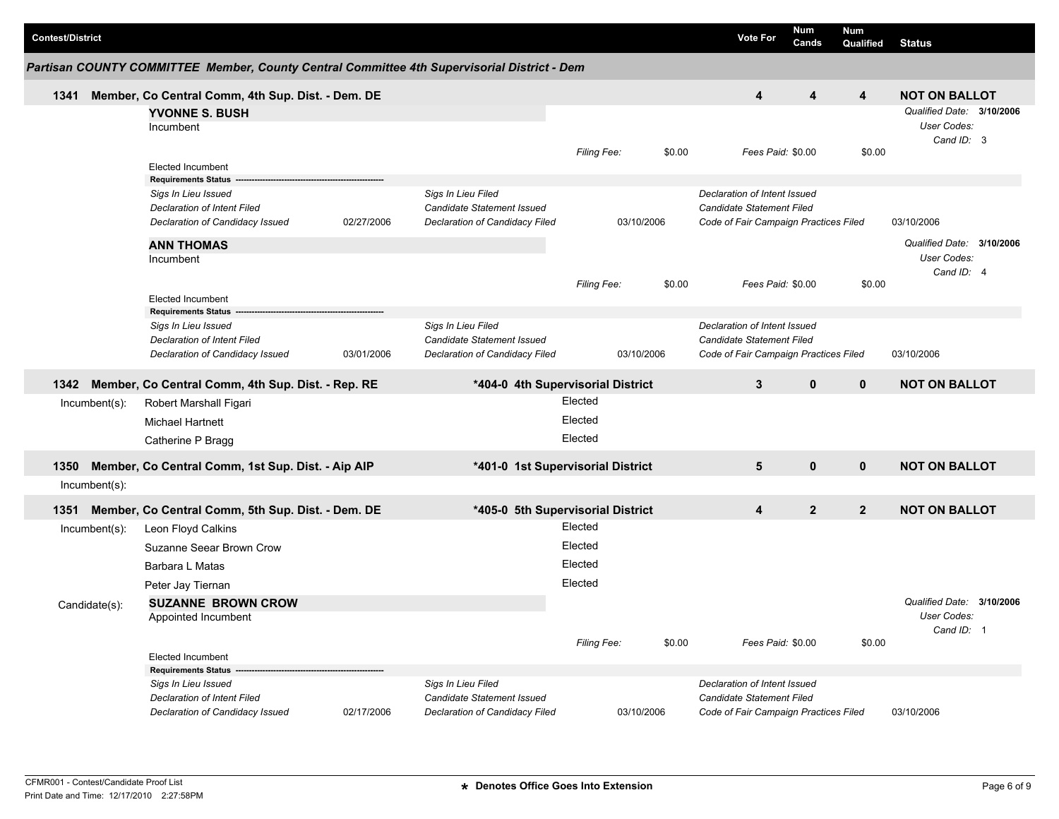| <b>Contest/District</b> |                                                                                             |            |                                                              |             |            | <b>Vote For</b>                                                    | Num<br>Cands   | Num<br><b>Qualified</b> | <b>Status</b>             |  |
|-------------------------|---------------------------------------------------------------------------------------------|------------|--------------------------------------------------------------|-------------|------------|--------------------------------------------------------------------|----------------|-------------------------|---------------------------|--|
|                         | Partisan COUNTY COMMITTEE Member, County Central Committee 4th Supervisorial District - Dem |            |                                                              |             |            |                                                                    |                |                         |                           |  |
| 1341                    | Member, Co Central Comm, 4th Sup. Dist. - Dem. DE                                           |            |                                                              |             |            | 4                                                                  | 4              | 4                       | <b>NOT ON BALLOT</b>      |  |
|                         | <b>YVONNE S. BUSH</b>                                                                       |            |                                                              |             |            |                                                                    |                |                         | Qualified Date: 3/10/2006 |  |
|                         | Incumbent                                                                                   |            |                                                              |             |            |                                                                    |                |                         | User Codes:               |  |
|                         |                                                                                             |            |                                                              | Filing Fee: | \$0.00     | Fees Paid: \$0.00                                                  |                | \$0.00                  | Cand ID: 3                |  |
|                         | <b>Elected Incumbent</b>                                                                    |            |                                                              |             |            |                                                                    |                |                         |                           |  |
|                         | <b>Requirements Status</b>                                                                  |            |                                                              |             |            |                                                                    |                |                         |                           |  |
|                         | Sigs In Lieu Issued                                                                         |            | Sigs In Lieu Filed                                           |             |            | Declaration of Intent Issued                                       |                |                         |                           |  |
|                         | <b>Declaration of Intent Filed</b><br>Declaration of Candidacy Issued                       | 02/27/2006 | Candidate Statement Issued<br>Declaration of Candidacy Filed |             | 03/10/2006 | Candidate Statement Filed<br>Code of Fair Campaign Practices Filed |                |                         | 03/10/2006                |  |
|                         |                                                                                             |            |                                                              |             |            |                                                                    |                |                         |                           |  |
|                         | <b>ANN THOMAS</b>                                                                           |            |                                                              |             |            |                                                                    |                |                         | Qualified Date: 3/10/2006 |  |
|                         | Incumbent                                                                                   |            |                                                              |             |            |                                                                    |                |                         | User Codes:<br>Cand ID: 4 |  |
|                         |                                                                                             |            |                                                              | Filing Fee: | \$0.00     | Fees Paid: \$0.00                                                  |                | \$0.00                  |                           |  |
|                         | <b>Elected Incumbent</b>                                                                    |            |                                                              |             |            |                                                                    |                |                         |                           |  |
|                         | <b>Requirements Status</b>                                                                  |            |                                                              |             |            |                                                                    |                |                         |                           |  |
|                         | Sigs In Lieu Issued<br><b>Declaration of Intent Filed</b>                                   |            | Sigs In Lieu Filed<br>Candidate Statement Issued             |             |            | Declaration of Intent Issued<br>Candidate Statement Filed          |                |                         |                           |  |
|                         | Declaration of Candidacy Issued                                                             | 03/01/2006 | Declaration of Candidacy Filed                               |             | 03/10/2006 | Code of Fair Campaign Practices Filed                              |                |                         | 03/10/2006                |  |
|                         |                                                                                             |            |                                                              |             |            |                                                                    |                |                         |                           |  |
| 1342                    | Member, Co Central Comm, 4th Sup. Dist. - Rep. RE                                           |            | *404-0 4th Supervisorial District                            |             |            | $\mathbf{3}$                                                       | $\mathbf{0}$   | $\mathbf{0}$            | <b>NOT ON BALLOT</b>      |  |
| Incumbent(s):           | Robert Marshall Figari                                                                      |            |                                                              | Elected     |            |                                                                    |                |                         |                           |  |
|                         | <b>Michael Hartnett</b>                                                                     |            |                                                              | Elected     |            |                                                                    |                |                         |                           |  |
|                         | Catherine P Bragg                                                                           |            |                                                              | Elected     |            |                                                                    |                |                         |                           |  |
|                         |                                                                                             |            |                                                              |             |            |                                                                    |                |                         |                           |  |
| 1350                    | Member, Co Central Comm, 1st Sup. Dist. - Aip AIP                                           |            | *401-0 1st Supervisorial District                            |             |            | $5\phantom{1}$                                                     | $\mathbf 0$    | $\mathbf 0$             | <b>NOT ON BALLOT</b>      |  |
| $Incumbent(s)$ :        |                                                                                             |            |                                                              |             |            |                                                                    |                |                         |                           |  |
| 1351                    | Member, Co Central Comm, 5th Sup. Dist. - Dem. DE                                           |            | *405-0 5th Supervisorial District                            |             |            | 4                                                                  | $\overline{2}$ | $\overline{2}$          | <b>NOT ON BALLOT</b>      |  |
| Incumbent(s):           | Leon Floyd Calkins                                                                          |            |                                                              | Elected     |            |                                                                    |                |                         |                           |  |
|                         | Suzanne Seear Brown Crow                                                                    |            |                                                              | Elected     |            |                                                                    |                |                         |                           |  |
|                         | Barbara L Matas                                                                             |            |                                                              | Elected     |            |                                                                    |                |                         |                           |  |
|                         | Peter Jay Tiernan                                                                           |            |                                                              | Elected     |            |                                                                    |                |                         |                           |  |
| Candidate(s):           | <b>SUZANNE BROWN CROW</b>                                                                   |            |                                                              |             |            |                                                                    |                |                         | Qualified Date: 3/10/2006 |  |
|                         | Appointed Incumbent                                                                         |            |                                                              |             |            |                                                                    |                |                         | User Codes:               |  |
|                         |                                                                                             |            |                                                              |             |            |                                                                    |                |                         | Cand ID: 1                |  |
|                         | <b>Elected Incumbent</b>                                                                    |            |                                                              | Filing Fee: | \$0.00     | Fees Paid: \$0.00                                                  |                | \$0.00                  |                           |  |
|                         | <b>Requirements Status</b>                                                                  |            |                                                              |             |            |                                                                    |                |                         |                           |  |
|                         | Sigs In Lieu Issued                                                                         |            | Sigs In Lieu Filed                                           |             |            | Declaration of Intent Issued                                       |                |                         |                           |  |
|                         | Declaration of Intent Filed                                                                 |            | Candidate Statement Issued                                   |             |            | Candidate Statement Filed                                          |                |                         |                           |  |
|                         | Declaration of Candidacy Issued                                                             | 02/17/2006 | Declaration of Candidacy Filed                               |             | 03/10/2006 | Code of Fair Campaign Practices Filed                              |                |                         | 03/10/2006                |  |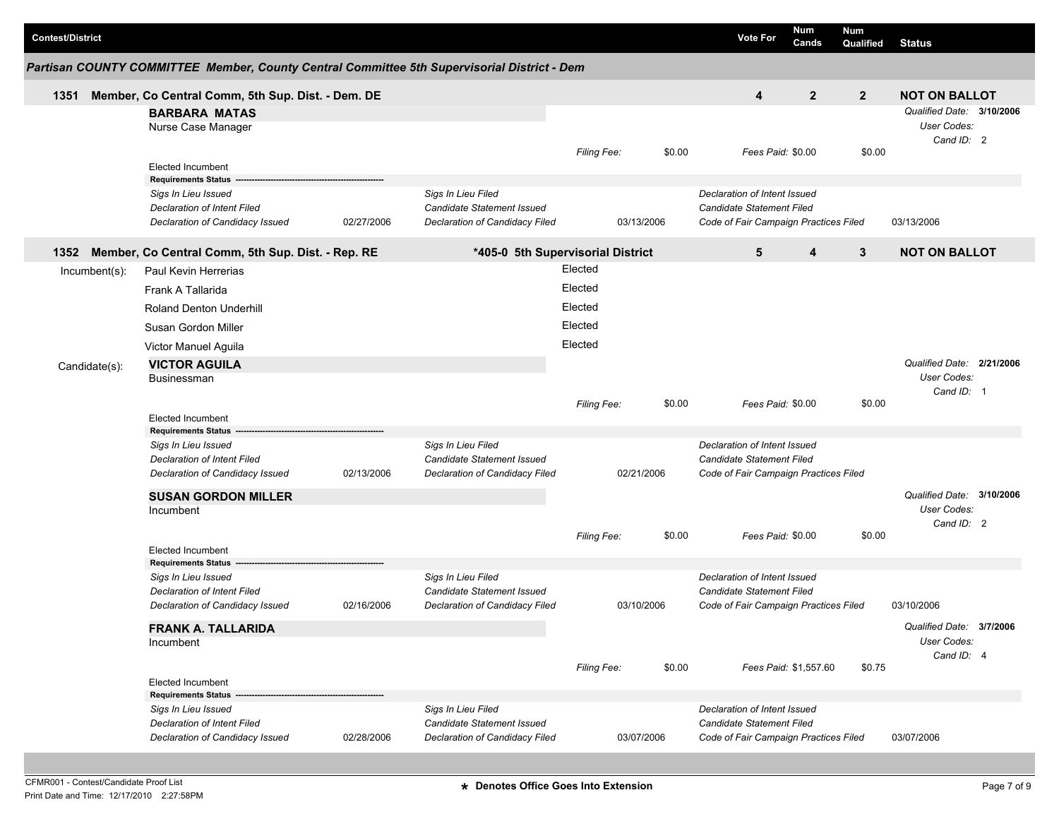|  | <b>Contest/District</b> |               |                                                                                              |            |                                                                                    |             |            |        | <b>Vote For</b>                                                                                    | Num<br>Cands          | Num<br>Qualified | <b>Status</b>                                                 |  |
|--|-------------------------|---------------|----------------------------------------------------------------------------------------------|------------|------------------------------------------------------------------------------------|-------------|------------|--------|----------------------------------------------------------------------------------------------------|-----------------------|------------------|---------------------------------------------------------------|--|
|  |                         |               | Partisan COUNTY COMMITTEE Member, County Central Committee 5th Supervisorial District - Dem  |            |                                                                                    |             |            |        |                                                                                                    |                       |                  |                                                               |  |
|  | 1351                    |               | Member, Co Central Comm, 5th Sup. Dist. - Dem. DE                                            |            |                                                                                    |             |            |        | $\boldsymbol{4}$                                                                                   | $\overline{2}$        | $\overline{2}$   | <b>NOT ON BALLOT</b>                                          |  |
|  |                         |               | <b>BARBARA MATAS</b><br>Nurse Case Manager                                                   |            |                                                                                    |             |            |        |                                                                                                    |                       |                  | Qualified Date: 3/10/2006<br><b>User Codes:</b><br>Cand ID: 2 |  |
|  |                         |               | <b>Elected Incumbent</b><br><b>Requirements Status</b>                                       |            |                                                                                    | Filing Fee: |            | \$0.00 | Fees Paid: \$0.00                                                                                  |                       | \$0.00           |                                                               |  |
|  |                         |               | Sigs In Lieu Issued<br><b>Declaration of Intent Filed</b><br>Declaration of Candidacy Issued | 02/27/2006 | Sigs In Lieu Filed<br>Candidate Statement Issued<br>Declaration of Candidacy Filed |             | 03/13/2006 |        | Declaration of Intent Issued<br>Candidate Statement Filed<br>Code of Fair Campaign Practices Filed |                       |                  | 03/13/2006                                                    |  |
|  | 1352                    |               | Member, Co Central Comm, 5th Sup. Dist. - Rep. RE                                            |            | *405-0 5th Supervisorial District                                                  |             |            |        | 5                                                                                                  | $\boldsymbol{4}$      | 3                | <b>NOT ON BALLOT</b>                                          |  |
|  |                         | Incumbent(s): | Paul Kevin Herrerias                                                                         |            |                                                                                    | Elected     |            |        |                                                                                                    |                       |                  |                                                               |  |
|  |                         |               | Frank A Tallarida                                                                            |            |                                                                                    | Elected     |            |        |                                                                                                    |                       |                  |                                                               |  |
|  |                         |               | Roland Denton Underhill                                                                      |            |                                                                                    | Elected     |            |        |                                                                                                    |                       |                  |                                                               |  |
|  |                         |               | Susan Gordon Miller                                                                          |            |                                                                                    | Elected     |            |        |                                                                                                    |                       |                  |                                                               |  |
|  |                         |               | Victor Manuel Aguila                                                                         |            |                                                                                    | Elected     |            |        |                                                                                                    |                       |                  |                                                               |  |
|  |                         | Candidate(s): | <b>VICTOR AGUILA</b><br>Businessman                                                          |            |                                                                                    |             |            |        |                                                                                                    |                       |                  | Qualified Date: 2/21/2006<br>User Codes:                      |  |
|  |                         |               | <b>Elected Incumbent</b><br><b>Requirements Status</b>                                       |            |                                                                                    | Filing Fee: |            | \$0.00 | Fees Paid: \$0.00                                                                                  |                       | \$0.00           | Cand ID: 1                                                    |  |
|  |                         |               | Sigs In Lieu Issued                                                                          |            | Sigs In Lieu Filed                                                                 |             |            |        | Declaration of Intent Issued                                                                       |                       |                  |                                                               |  |
|  |                         |               | <b>Declaration of Intent Filed</b><br>Declaration of Candidacy Issued                        | 02/13/2006 | Candidate Statement Issued<br>Declaration of Candidacy Filed                       |             | 02/21/2006 |        | Candidate Statement Filed<br>Code of Fair Campaign Practices Filed                                 |                       |                  |                                                               |  |
|  |                         |               | <b>SUSAN GORDON MILLER</b>                                                                   |            |                                                                                    |             |            |        |                                                                                                    |                       |                  | Qualified Date: 3/10/2006                                     |  |
|  |                         |               | Incumbent                                                                                    |            |                                                                                    | Filing Fee: |            | \$0.00 | Fees Paid: \$0.00                                                                                  |                       | \$0.00           | <b>User Codes:</b><br>Cand ID: 2                              |  |
|  |                         |               | Elected Incumbent<br><b>Requirements Status</b>                                              |            |                                                                                    |             |            |        |                                                                                                    |                       |                  |                                                               |  |
|  |                         |               | Sigs In Lieu Issued<br><b>Declaration of Intent Filed</b><br>Declaration of Candidacy Issued | 02/16/2006 | Sigs In Lieu Filed<br>Candidate Statement Issued<br>Declaration of Candidacy Filed |             | 03/10/2006 |        | Declaration of Intent Issued<br>Candidate Statement Filed<br>Code of Fair Campaign Practices Filed |                       |                  | 03/10/2006                                                    |  |
|  |                         |               | <b>FRANK A. TALLARIDA</b><br>Incumbent                                                       |            |                                                                                    | Filing Fee: |            | \$0.00 |                                                                                                    | Fees Paid: \$1,557.60 | \$0.75           | Qualified Date: 3/7/2006<br>User Codes:<br>Cand ID: 4         |  |
|  |                         |               | Elected Incumbent                                                                            |            |                                                                                    |             |            |        |                                                                                                    |                       |                  |                                                               |  |
|  |                         |               | <b>Requirements Status -</b><br>Sigs In Lieu Issued<br>Declaration of Intent Filed           |            | Sigs In Lieu Filed<br>Candidate Statement Issued                                   |             |            |        | Declaration of Intent Issued<br>Candidate Statement Filed                                          |                       |                  |                                                               |  |
|  |                         |               | Declaration of Candidacy Issued                                                              | 02/28/2006 | Declaration of Candidacy Filed                                                     |             | 03/07/2006 |        | Code of Fair Campaign Practices Filed                                                              |                       |                  | 03/07/2006                                                    |  |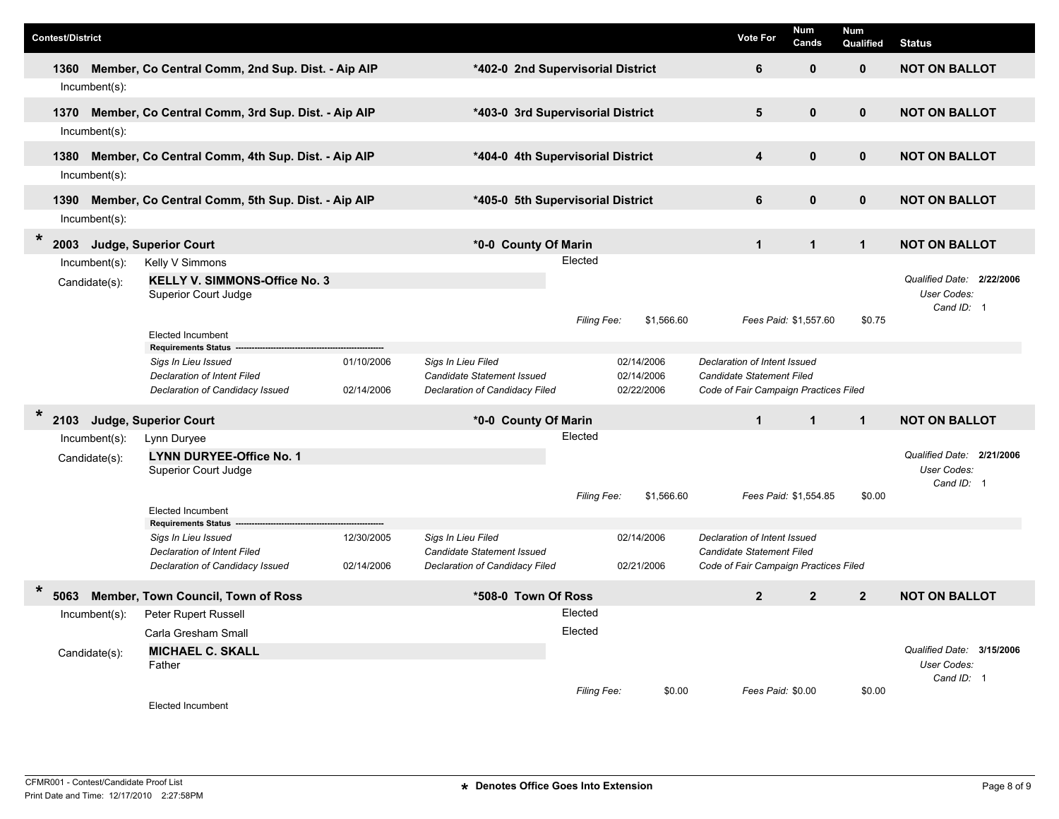| <b>Contest/District</b> |                  |                                                                       |            |                                                                     |                    |                          |            | Vote For                                                                  | Num<br>Cands          | <b>Num</b><br>Qualified | <b>Status</b>                            |
|-------------------------|------------------|-----------------------------------------------------------------------|------------|---------------------------------------------------------------------|--------------------|--------------------------|------------|---------------------------------------------------------------------------|-----------------------|-------------------------|------------------------------------------|
| 1360                    |                  | Member, Co Central Comm, 2nd Sup. Dist. - Aip AIP                     |            | *402-0 2nd Supervisorial District                                   |                    |                          |            | 6                                                                         | $\mathbf 0$           | $\mathbf{0}$            | <b>NOT ON BALLOT</b>                     |
|                         | $Incumbent(s)$ : |                                                                       |            |                                                                     |                    |                          |            |                                                                           |                       |                         |                                          |
| 1370                    |                  | Member, Co Central Comm, 3rd Sup. Dist. - Aip AIP                     |            | *403-0 3rd Supervisorial District                                   |                    |                          |            | 5                                                                         | $\mathbf{0}$          | $\mathbf{0}$            | <b>NOT ON BALLOT</b>                     |
|                         | $Incumbent(s)$ : |                                                                       |            |                                                                     |                    |                          |            |                                                                           |                       |                         |                                          |
|                         |                  |                                                                       |            |                                                                     |                    |                          |            |                                                                           |                       |                         |                                          |
| 1380                    |                  | Member, Co Central Comm, 4th Sup. Dist. - Aip AIP                     |            | *404-0 4th Supervisorial District                                   |                    |                          |            | $\overline{\mathbf{4}}$                                                   | $\mathbf{0}$          | $\mathbf{0}$            | <b>NOT ON BALLOT</b>                     |
|                         | Incumbent(s):    |                                                                       |            |                                                                     |                    |                          |            |                                                                           |                       |                         |                                          |
| 1390                    |                  | Member, Co Central Comm, 5th Sup. Dist. - Aip AIP                     |            | *405-0 5th Supervisorial District                                   |                    |                          |            | 6                                                                         | $\mathbf{0}$          | $\mathbf{0}$            | <b>NOT ON BALLOT</b>                     |
|                         | $Incumbent(s)$ : |                                                                       |            |                                                                     |                    |                          |            |                                                                           |                       |                         |                                          |
| $\ast$<br>2003          |                  | Judge, Superior Court                                                 |            | *0-0 County Of Marin                                                |                    |                          |            | $\mathbf{1}$                                                              | $\mathbf{1}$          | $\mathbf{1}$            | <b>NOT ON BALLOT</b>                     |
|                         | $Incumbent(s)$ : | Kelly V Simmons                                                       |            |                                                                     | Elected            |                          |            |                                                                           |                       |                         |                                          |
|                         | Candidate(s):    | <b>KELLY V. SIMMONS-Office No. 3</b>                                  |            |                                                                     |                    |                          |            |                                                                           |                       |                         | Qualified Date: 2/22/2006                |
|                         |                  | Superior Court Judge                                                  |            |                                                                     |                    |                          |            |                                                                           |                       |                         | User Codes:<br>Cand ID: 1                |
|                         |                  |                                                                       |            |                                                                     | <b>Filing Fee:</b> |                          | \$1,566.60 |                                                                           | Fees Paid: \$1,557.60 | \$0.75                  |                                          |
|                         |                  | <b>Elected Incumbent</b><br><b>Requirements Status</b>                |            |                                                                     |                    |                          |            |                                                                           |                       |                         |                                          |
|                         |                  | Sigs In Lieu Issued                                                   | 01/10/2006 | Sigs In Lieu Filed                                                  |                    | 02/14/2006               |            | Declaration of Intent Issued                                              |                       |                         |                                          |
|                         |                  | Declaration of Intent Filed<br>Declaration of Candidacy Issued        | 02/14/2006 | Candidate Statement Issued<br>Declaration of Candidacy Filed        |                    | 02/14/2006<br>02/22/2006 |            | <b>Candidate Statement Filed</b><br>Code of Fair Campaign Practices Filed |                       |                         |                                          |
|                         |                  |                                                                       |            |                                                                     |                    |                          |            |                                                                           |                       |                         |                                          |
| $\star$<br>2103         |                  | Judge, Superior Court                                                 |            | *0-0 County Of Marin                                                |                    |                          |            | $\mathbf{1}$                                                              | $\mathbf{1}$          | $\mathbf{1}$            | <b>NOT ON BALLOT</b>                     |
|                         | $Incumbent(s)$ : | Lynn Duryee                                                           |            |                                                                     | Elected            |                          |            |                                                                           |                       |                         |                                          |
|                         | Candidate(s):    | <b>LYNN DURYEE-Office No. 1</b>                                       |            |                                                                     |                    |                          |            |                                                                           |                       |                         | Qualified Date: 2/21/2006<br>User Codes: |
|                         |                  | Superior Court Judge                                                  |            |                                                                     |                    |                          |            |                                                                           |                       |                         | Cand ID: 1                               |
|                         |                  |                                                                       |            |                                                                     | Filing Fee:        |                          | \$1,566.60 |                                                                           | Fees Paid: \$1,554.85 | \$0.00                  |                                          |
|                         |                  | <b>Elected Incumbent</b><br><b>Requirements Status</b>                |            |                                                                     |                    |                          |            |                                                                           |                       |                         |                                          |
|                         |                  | Sigs In Lieu Issued                                                   | 12/30/2005 | Sigs In Lieu Filed                                                  |                    | 02/14/2006               |            | Declaration of Intent Issued                                              |                       |                         |                                          |
|                         |                  | <b>Declaration of Intent Filed</b><br>Declaration of Candidacy Issued | 02/14/2006 | <b>Candidate Statement Issued</b><br>Declaration of Candidacy Filed |                    | 02/21/2006               |            | Candidate Statement Filed<br>Code of Fair Campaign Practices Filed        |                       |                         |                                          |
|                         |                  |                                                                       |            |                                                                     |                    |                          |            |                                                                           |                       |                         |                                          |
| $\star$<br>5063         |                  | Member, Town Council, Town of Ross                                    |            | *508-0 Town Of Ross                                                 |                    |                          |            | $\overline{2}$                                                            | $\overline{2}$        | $\overline{2}$          | <b>NOT ON BALLOT</b>                     |
|                         | Incumbent(s):    | Peter Rupert Russell                                                  |            |                                                                     | Elected            |                          |            |                                                                           |                       |                         |                                          |
|                         |                  | Carla Gresham Small                                                   |            | Elected                                                             |                    |                          |            |                                                                           |                       |                         |                                          |
|                         | Candidate(s):    | <b>MICHAEL C. SKALL</b>                                               |            |                                                                     |                    |                          |            |                                                                           |                       |                         | Qualified Date: 3/15/2006<br>User Codes: |
|                         |                  | Father                                                                |            |                                                                     |                    |                          |            |                                                                           |                       |                         | Cand ID: 1                               |
|                         |                  |                                                                       |            |                                                                     | <b>Filing Fee:</b> |                          | \$0.00     | Fees Paid: \$0.00                                                         |                       | \$0.00                  |                                          |
|                         |                  | <b>Elected Incumbent</b>                                              |            |                                                                     |                    |                          |            |                                                                           |                       |                         |                                          |